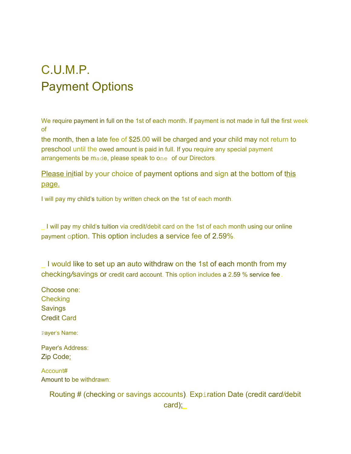## C.U.M.P. Payment Options

We require payment in full on the 1st of each month. If payment is not made in full the first week of

the month, then a late fee of \$25.00 will be charged and your child may not return to preschool until the owed amount is paid in full. If you require any special payment arrangements be made, please speak to one of our Directors.

Please initial by your choice of payment options and sign at the bottom of this page.

I will pay my child's tuition by written check on the 1st of each month.

\_ I will pay my child's tuition via credit/debit card on the 1st of each month using our online payment option. This option includes a service fee of 2.59%.

I would like to set up an auto withdraw on the 1st of each month from my checking*/*savings or credit card account. This option includes a 2.59 % service fee.

Choose one: **Checking Savings** Credit Card

Payer's Name:

Payer's Address: Zip Code:

Account# Amount to be withdrawn:

> Routing # (checking or savings accounts). Expiration Date (credit car*d/*debit card):